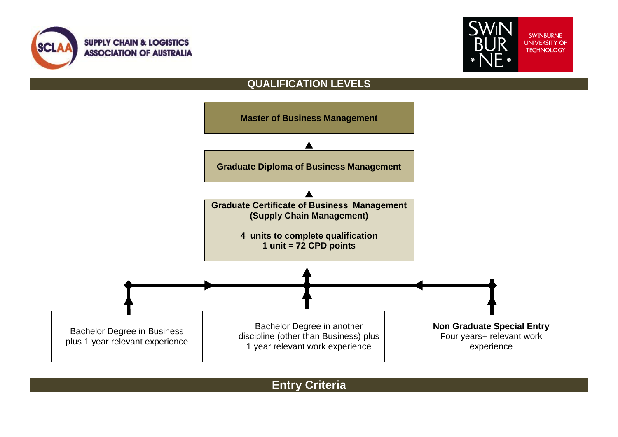



## **QUALIFICATION LEVELS**



**Entry Criteria**